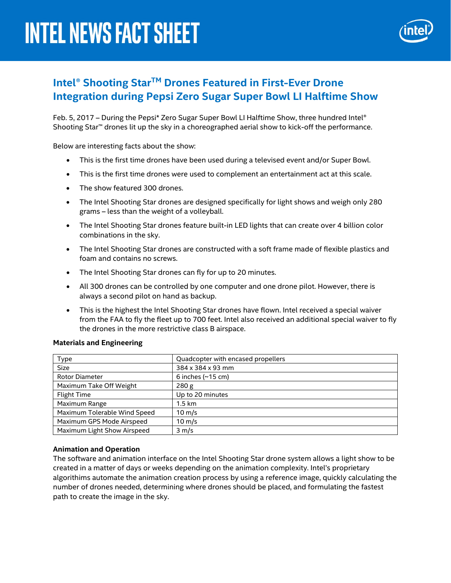

## **Intel® Shooting StarTM Drones Featured in First-Ever Drone Integration during Pepsi Zero Sugar Super Bowl LI Halftime Show**

Feb. 5, 2017 – During the Pepsi\* Zero Sugar Super Bowl LI Halftime Show, three hundred Intel® Shooting Star™ drones lit up the sky in a choreographed aerial show to kick-off the performance.

Below are interesting facts about the show:

- This is the first time drones have been used during a televised event and/or Super Bowl.
- This is the first time drones were used to complement an entertainment act at this scale.
- The show featured 300 drones.
- The Intel Shooting Star drones are designed specifically for light shows and weigh only 280 grams – less than the weight of a volleyball.
- The Intel Shooting Star drones feature built-in LED lights that can create over 4 billion color combinations in the sky.
- The Intel Shooting Star drones are constructed with a soft frame made of flexible plastics and foam and contains no screws.
- The Intel Shooting Star drones can fly for up to 20 minutes.
- All 300 drones can be controlled by one computer and one drone pilot. However, there is always a second pilot on hand as backup.
- This is the highest the Intel Shooting Star drones have flown. Intel received a special waiver from the FAA to fly the fleet up to 700 feet. Intel also received an additional special waiver to fly the drones in the more restrictive class B airspace.

| <b>Type</b>                  | Quadcopter with encased propellers |
|------------------------------|------------------------------------|
| <b>Size</b>                  | 384 x 384 x 93 mm                  |
| <b>Rotor Diameter</b>        | 6 inches $(\sim 15 \text{ cm})$    |
| Maximum Take Off Weight      | 280 g                              |
| <b>Flight Time</b>           | Up to 20 minutes                   |
| Maximum Range                | $1.5 \text{ km}$                   |
| Maximum Tolerable Wind Speed | $10 \text{ m/s}$                   |
| Maximum GPS Mode Airspeed    | $10 \text{ m/s}$                   |
| Maximum Light Show Airspeed  | $3 \, \text{m/s}$                  |

## **Materials and Engineering**

## **Animation and Operation**

The software and animation interface on the Intel Shooting Star drone system allows a light show to be created in a matter of days or weeks depending on the animation complexity. Intel's proprietary algorithims automate the animation creation process by using a reference image, quickly calculating the number of drones needed, determining where drones should be placed, and formulating the fastest path to create the image in the sky.